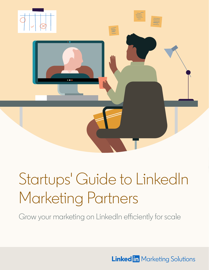

# Startups' Guide to LinkedIn Marketing Partners

Grow your marketing on LinkedIn efficiently for scale

**Linked in Marketing Solutions**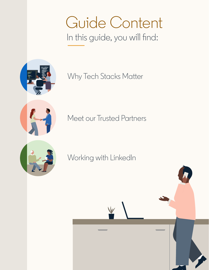# Guide Content In this guide, you will find:



[Why Tech Stacks Matter](#page-2-0)

[Meet our Trusted Partners](#page-3-0)

[Working with LinkedIn](#page-16-0)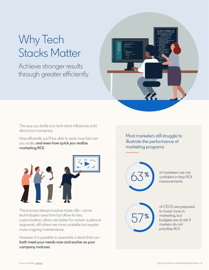### <span id="page-2-0"></span>Why Tech Stacks Matter

Achieve stronger results through greater efficiently



The way you build your tech stack influences a lot about your company.

How efficiently you'll be able to work, how fast can you scale, **and even how quick you realize marketing ROI**.



The process always involves trade-offs—some technologies save time but allow for less customization, others are better for certain audience segments, still others are more scalable but require more ongoing maintenance.

However, it is possible to assemble a stack that can **both meet your needs now and evolve as your company matures**.

Most marketers still struggle to illustrate the performance of marketing programs



of marketers are not confident in their ROI measurements



of CEOS are prepared to invest more in marketing, but budgets are at risk if markers do not prioritize ROI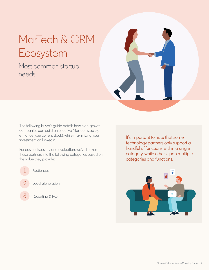### <span id="page-3-0"></span>MarTech & CRM Ecosystem

#### Most common startup needs



The following buyer's guide details how high-growth companies can build an effective MarTech stack (or enhance your current stack), while maximizing your investment on LinkedIn.

For easier discovery and evaluation, we've broken these partners into the following categories based on the value they provide:

Audiences Lead Generation 1 2

Reporting & ROI 3

It's important to note that some technology partners only support a handful of functions within a single category, while others span multiple categories and functions.

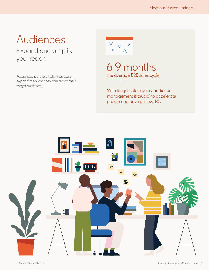### Audiences Expand and amplify your reach

Audiences partners help marketers expand the ways they can reach their target audience.



6-9 months the average B2B sales cycle

With longer sales cycles, audience management is crucial to accelerate growth and drive positive ROI

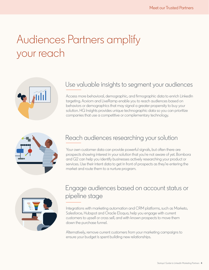## Audiences Partners amplify your reach



#### Use valuable insights to segment your audiences

Access more behavioral, demographic, and firmographic data to enrich LinkedIn targeting. Acxiom and LiveRamp enable you to reach audiences based on behaviors or demographics that may signal a greater propensity to buy your solution. HG Insights provides unique technographic data so you can prioritize companies that use a competitive or complementary technology.



#### Reach audiences researching your solution

Your own customer data can provide powerful signals, but often there are prospects showing interest in your solution that you're not aware of yet. Bombora and G2 can help you identify businesses actively researching your product or services. Use their intent data to get in front of prospects as they're entering the market and route them to a nurture program.

#### Engage audiences based on account status or pipeline stage

Integrations with marketing automation and CRM platforms, such as Marketo, Salesforce, Hubspot and Oracle Eloqua, help you engage with current customers to upsell or cross sell, and with known prospects to move them down the purchase funnel.

Alternatively, remove current customers from your marketing campaigns to ensure your budget is spent building new relationships.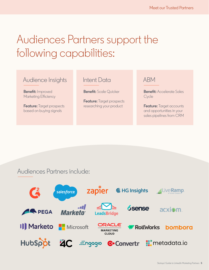### Audiences Partners support the following capabilities:

#### Audience Insights

**Benefit:** Improved Marketing Efficiency

**Feature:** Target prospects based on buying signals

#### Intent Data

**Benefit:** Scale Quicker

**Feature:** Target prospects researching your product

#### ABM

**Benefit:** Accelerate Sales **Cycle** 

**Feature:** Target accounts and opportunities in your sales pipelines from CRM

#### Audiences Partners include:

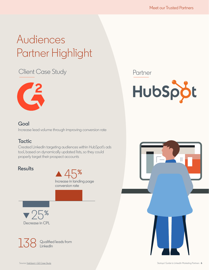## Audiences Partner Highlight

#### Client Case Study



Partner



#### **Goal**

Increase lead volume through improving conversion rate

#### **Tactic**

Created LinkedIn targeting audiences within HubSpot's ads tool, based on dynamically updated lists, so they could properly target their prospect accounts

#### **Results**





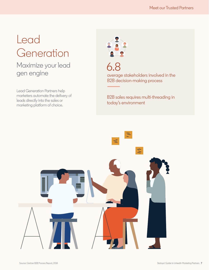### Lead Generation

#### Maximize your lead gen engine

Lead Generation Partners help marketers automate the delivery of leads directly into the sales or marketing platform of choice.



6.8 average stakeholders involved in the B2B decision-making process

B2B sales requires multi-threading in today's environment

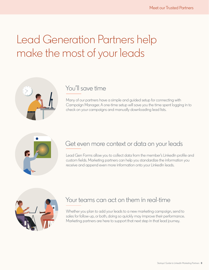### Lead Generation Partners help make the most of your leads



#### You'll save time

Many of our partners have a simple and guided setup for connecting with Campaign Manager. A one-time setup will save you the time spent logging in to check on your campaigns and manually downloading lead lists.



#### Get even more context or data on your leads

Lead Gen Forms allow you to collect data from the member's LinkedIn profile and custom fields. Marketing partners can help you standardize the information you receive and append even more information onto your LinkedIn leads.



#### Your teams can act on them in real-time

Whether you plan to add your leads to a new marketing campaign, send to sales for follow-up, or both, doing so quickly may improve their performance. Marketing partners are here to support that next step in that lead journey.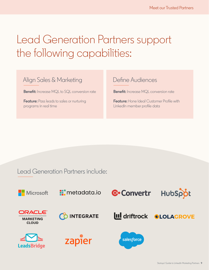### Lead Generation Partners support the following capabilities:

#### Align Sales & Marketing

**Benefit:** Increase MQL to SQL conversion rate

**Feature:** Pass leads to sales or nurturing programs in real time

#### Define Audiences

**Benefit:** Increase MQL conversion rate

**Feature:** Hone Ideal Customer Profile with LinkedIn member profile data

#### Lead Generation Partners include:

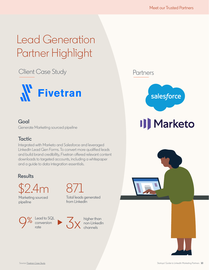## Lead Generation Partner Highlight

#### Client Case Study



#### **Goal**

Generate Marketing sourced pipeline

#### **Tactic**

Integrated with Marketo and Salesforce and leveraged LinkedIn Lead Gen Forms. To convert more qualified leads and build brand credibility, Fivetran offered relevant content downloads to targeted accounts, including a whitepaper and a guide to data integration essentials.

#### **Results**



Marketing sourced pipeline

Lead to SQL conversion rate  $\frac{1}{2}$  Conversion  $\frac{1}{2}$   $\frac{1}{2}$  channels

Source: **Fivetran Case Study** 



from LinkedIn

higher than non-LinkedIn Partners



# **II** Marketo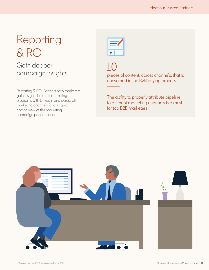### Reporting & ROI Gain deeper campaign insights

Reporting & ROI Partners help marketers gain insights into their marketing programs with LinkedIn and across all marketing channels for a singular, holistic view of the marketing campaign performance.



pieces of content, across channels, that is consumed in the B2B buying process

The ability to properly attribute pipeline to different marketing channels is a must for top B2B marketers

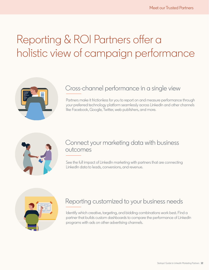### Reporting & ROI Partners offer a holistic view of campaign performance



#### Cross-channel performance in a single view

Partners make it frictionless for you to report on and measure performance through your preferred technology platform seamlessly across LinkedIn and other channels like Facebook, Google, Twitter, web publishers, and more.



#### Connect your marketing data with business outcomes

See the full impact of LinkedIn marketing with partners that are connecting LinkedIn data to leads, conversions, and revenue.



#### Reporting customized to your business needs

Identify which creative, targeting, and bidding combinations work best. Find a partner that builds custom dashboards to compare the performance of LinkedIn programs with ads on other advertising channels.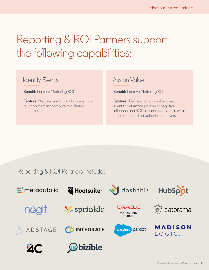## Reporting & ROI Partners support the following capabilities:

#### Identify Events

**Benefit:** Improve Marketing ROI

**Feature:** Discover and track which events or touchpoints that contribute to a desired outcome

#### Assign Value

**Benefit:** Improve Marketing ROI

**Feature:** Define and track value for each event to determine positive or negative influence and ROI for each event and in what order led to desired behavior or conversion

#### Reporting & ROI Partners include:

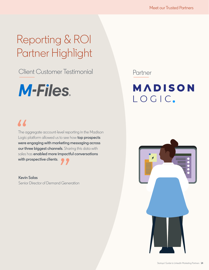## Reporting & ROI Partner Highlight

Client Customer Testimonial



Partner



### "

The aggregate account-level reporting in the Madison Logic platform allowed us to see how **top prospects were engaging with marketing messaging across our three biggest channels**. Sharing this data with sales has **enabled more impactful conversations with prospective clients**.

**Kevin Salas** Senior Director of Demand Generation **99**<br>d Gene

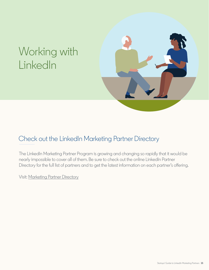### <span id="page-16-0"></span>Working with LinkedIn



#### Check out the LinkedIn Marketing Partner Directory

The LinkedIn Marketing Partner Program is growing and changing so rapidly that it would be nearly impossible to cover all of them. Be sure to check out the online LinkedIn Partner Directory for the full list of partners and to get the latest information on each partner's offering.

Visit: Marketing Partner Directory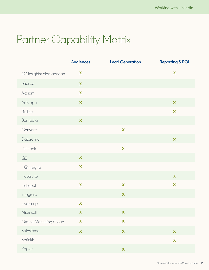### Partner Capability Matrix

|                        | <b>Audiences</b>          | <b>Lead Generation</b>    | <b>Reporting &amp; ROI</b> |
|------------------------|---------------------------|---------------------------|----------------------------|
| 4C Insights/Mediaocean | X                         |                           | $\mathbf x$                |
| 6Sense                 | $\boldsymbol{\mathsf{X}}$ |                           |                            |
| Acxiom                 | $\mathbf x$               |                           |                            |
| AdStage                | X                         |                           | $\boldsymbol{\mathsf{X}}$  |
| <b>Bizible</b>         |                           |                           | $\mathbf x$                |
| Bombora                | X                         |                           |                            |
| Convertr               |                           | $\boldsymbol{\mathsf{X}}$ |                            |
| Datorama               |                           |                           | $\boldsymbol{\mathsf{X}}$  |
| Driftrock              |                           | $\boldsymbol{\mathsf{X}}$ |                            |
| G2                     | X                         |                           |                            |
| <b>HG</b> Insights     | $\boldsymbol{\mathsf{X}}$ |                           |                            |
| Hootsuite              |                           |                           | $\boldsymbol{\mathsf{X}}$  |
| Hubspot                | $\boldsymbol{\mathsf{X}}$ | $\boldsymbol{\mathsf{X}}$ | $\boldsymbol{\mathsf{X}}$  |
| Integrate              |                           | X                         |                            |
| Liveramp               | X                         |                           |                            |
| Microsoft              | X                         | $\mathbf{X}$              |                            |
| Oracle Marketing Cloud | X                         | X                         |                            |
| Salesforce             | $\boldsymbol{\mathsf{X}}$ | $\mathbf x$               | $\boldsymbol{\mathsf{X}}$  |
| Sprinklr               |                           |                           | X                          |
| Zapier                 |                           | $\boldsymbol{\mathsf{X}}$ |                            |